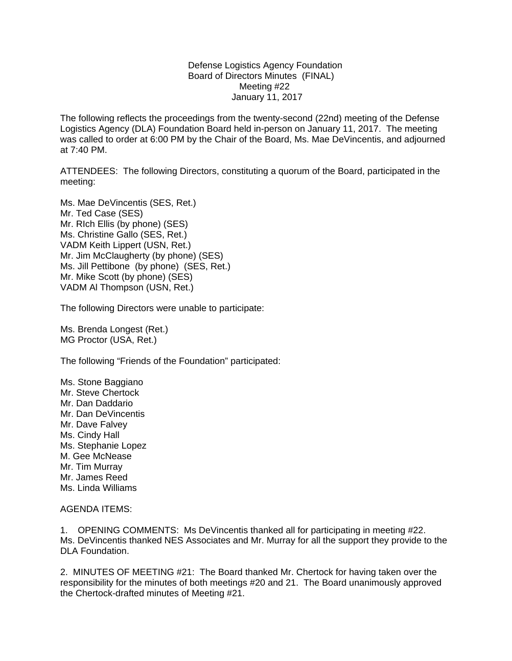Defense Logistics Agency Foundation Board of Directors Minutes (FINAL) Meeting #22 January 11, 2017

The following reflects the proceedings from the twenty-second (22nd) meeting of the Defense Logistics Agency (DLA) Foundation Board held in-person on January 11, 2017. The meeting was called to order at 6:00 PM by the Chair of the Board, Ms. Mae DeVincentis, and adjourned at 7:40 PM.

ATTENDEES: The following Directors, constituting a quorum of the Board, participated in the meeting:

Ms. Mae DeVincentis (SES, Ret.) Mr. Ted Case (SES) Mr. RIch Ellis (by phone) (SES) Ms. Christine Gallo (SES, Ret.) VADM Keith Lippert (USN, Ret.) Mr. Jim McClaugherty (by phone) (SES) Ms. Jill Pettibone (by phone) (SES, Ret.) Mr. Mike Scott (by phone) (SES) VADM Al Thompson (USN, Ret.)

The following Directors were unable to participate:

Ms. Brenda Longest (Ret.) MG Proctor (USA, Ret.)

The following "Friends of the Foundation" participated:

Ms. Stone Baggiano Mr. Steve Chertock Mr. Dan Daddario Mr. Dan DeVincentis Mr. Dave Falvey Ms. Cindy Hall Ms. Stephanie Lopez M. Gee McNease Mr. Tim Murray Mr. James Reed Ms. Linda Williams

## AGENDA ITEMS:

1. OPENING COMMENTS: Ms DeVincentis thanked all for participating in meeting #22. Ms. DeVincentis thanked NES Associates and Mr. Murray for all the support they provide to the DLA Foundation.

2. MINUTES OF MEETING #21: The Board thanked Mr. Chertock for having taken over the responsibility for the minutes of both meetings #20 and 21. The Board unanimously approved the Chertock-drafted minutes of Meeting #21.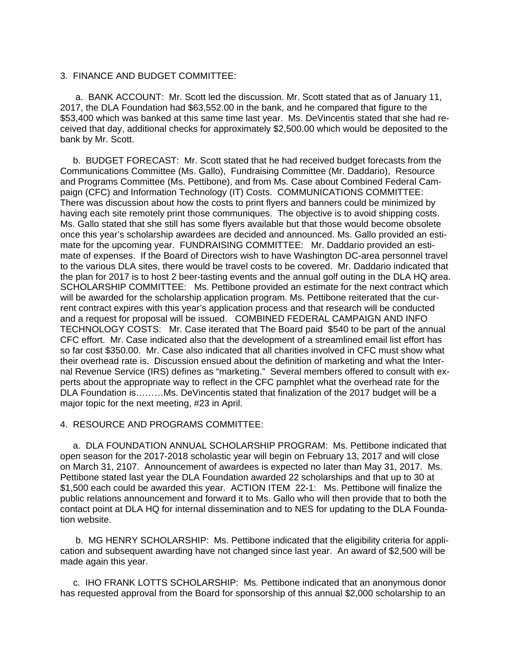## 3. FINANCE AND BUDGET COMMITTEE:

 a. BANK ACCOUNT: Mr. Scott led the discussion. Mr. Scott stated that as of January 11, 2017, the DLA Foundation had \$63,552.00 in the bank, and he compared that figure to the \$53,400 which was banked at this same time last year. Ms. DeVincentis stated that she had received that day, additional checks for approximately \$2,500.00 which would be deposited to the bank by Mr. Scott.

 b. BUDGET FORECAST: Mr. Scott stated that he had received budget forecasts from the Communications Committee (Ms. Gallo), Fundraising Committee (Mr. Daddario), Resource and Programs Committee (Ms. Pettibone), and from Ms. Case about Combined Federal Campaign (CFC) and Information Technology (IT) Costs. COMMUNICATIONS COMMITTEE: There was discussion about how the costs to print flyers and banners could be minimized by having each site remotely print those communiques. The objective is to avoid shipping costs. Ms. Gallo stated that she still has some flyers available but that those would become obsolete once this year's scholarship awardees are decided and announced. Ms. Gallo provided an estimate for the upcoming year. FUNDRAISING COMMITTEE: Mr. Daddario provided an estimate of expenses. If the Board of Directors wish to have Washington DC-area personnel travel to the various DLA sites, there would be travel costs to be covered. Mr. Daddario indicated that the plan for 2017 is to host 2 beer-tasting events and the annual golf outing in the DLA HQ area. SCHOLARSHIP COMMITTEE: Ms. Pettibone provided an estimate for the next contract which will be awarded for the scholarship application program. Ms. Pettibone reiterated that the current contract expires with this year's application process and that research will be conducted and a request for proposal will be issued. COMBINED FEDERAL CAMPAIGN AND INFO TECHNOLOGY COSTS: Mr. Case iterated that The Board paid \$540 to be part of the annual CFC effort. Mr. Case indicated also that the development of a streamlined email list effort has so far cost \$350.00. Mr. Case also indicated that all charities involved in CFC must show what their overhead rate is. Discussion ensued about the definition of marketing and what the Internal Revenue Service (IRS) defines as "marketing." Several members offered to consult with experts about the appropriate way to reflect in the CFC pamphlet what the overhead rate for the DLA Foundation is………Ms. DeVincentis stated that finalization of the 2017 budget will be a major topic for the next meeting, #23 in April.

## 4. RESOURCE AND PROGRAMS COMMITTEE:

 a. DLA FOUNDATION ANNUAL SCHOLARSHIP PROGRAM: Ms. Pettibone indicated that open season for the 2017-2018 scholastic year will begin on February 13, 2017 and will close on March 31, 2107. Announcement of awardees is expected no later than May 31, 2017. Ms. Pettibone stated last year the DLA Foundation awarded 22 scholarships and that up to 30 at \$1,500 each could be awarded this year. ACTION ITEM 22-1: Ms. Pettibone will finalize the public relations announcement and forward it to Ms. Gallo who will then provide that to both the contact point at DLA HQ for internal dissemination and to NES for updating to the DLA Foundation website.

 b. MG HENRY SCHOLARSHIP: Ms. Pettibone indicated that the eligibility criteria for application and subsequent awarding have not changed since last year. An award of \$2,500 will be made again this year.

 c. IHO FRANK LOTTS SCHOLARSHIP: Ms. Pettibone indicated that an anonymous donor has requested approval from the Board for sponsorship of this annual \$2,000 scholarship to an